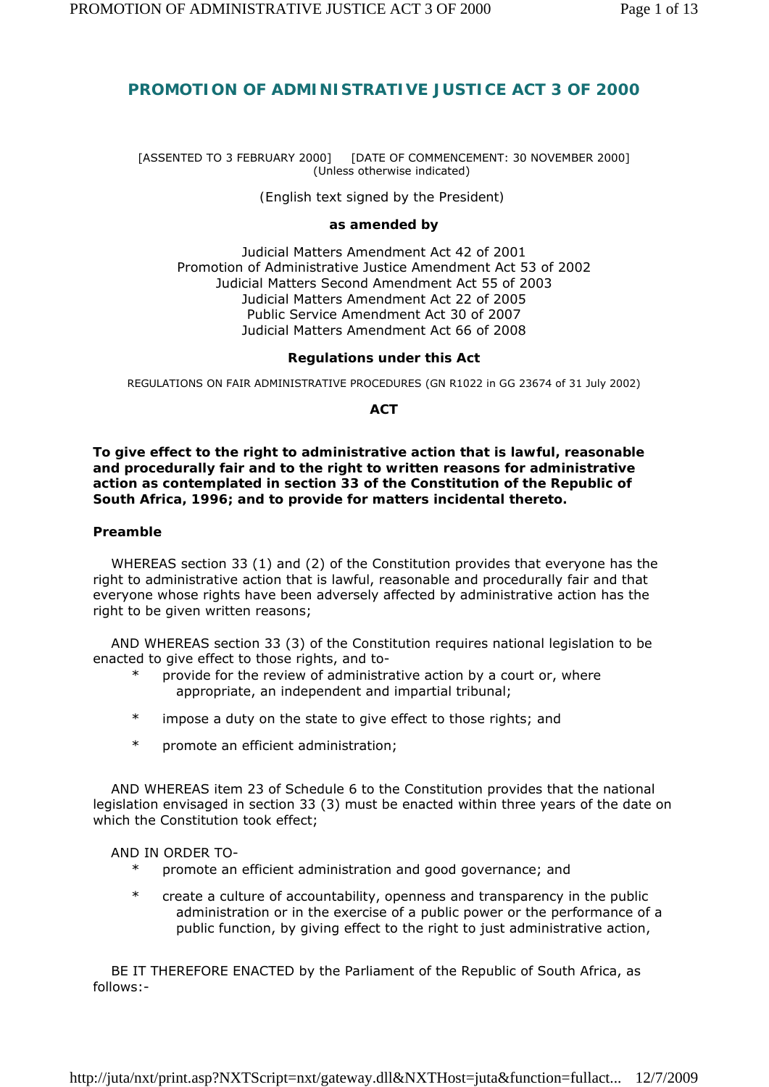# **PROMOTION OF ADMINISTRATIVE JUSTICE ACT 3 OF 2000**

#### [ASSENTED TO 3 FEBRUARY 2000] [DATE OF COMMENCEMENT: 30 NOVEMBER 2000] (Unless otherwise indicated)

*(English text signed by the President)* 

#### **as amended by**

Judicial Matters Amendment Act 42 of 2001 Promotion of Administrative Justice Amendment Act 53 of 2002 Judicial Matters Second Amendment Act 55 of 2003 Judicial Matters Amendment Act 22 of 2005 Public Service Amendment Act 30 of 2007 Judicial Matters Amendment Act 66 of 2008

#### **Regulations under this Act**

REGULATIONS ON FAIR ADMINISTRATIVE PROCEDURES (GN R1022 in *GG* 23674 of 31 July 2002)

**ACT** 

**To give effect to the right to administrative action that is lawful, reasonable and procedurally fair and to the right to written reasons for administrative action as contemplated in section 33 of the Constitution of the Republic of South Africa, 1996; and to provide for matters incidental thereto.** 

#### **Preamble**

 WHEREAS section 33 (1) and (2) of the Constitution provides that everyone has the right to administrative action that is lawful, reasonable and procedurally fair and that everyone whose rights have been adversely affected by administrative action has the right to be given written reasons;

 AND WHEREAS section 33 (3) of the Constitution requires national legislation to be enacted to give effect to those rights, and to-

- \* provide for the review of administrative action by a court or, where appropriate, an independent and impartial tribunal;
- \* impose a duty on the state to give effect to those rights; and
- \* promote an efficient administration;

 AND WHEREAS item 23 of Schedule 6 to the Constitution provides that the national legislation envisaged in section 33 (3) must be enacted within three years of the date on which the Constitution took effect;

AND IN ORDER TO-

- promote an efficient administration and good governance; and
- \* create a culture of accountability, openness and transparency in the public administration or in the exercise of a public power or the performance of a public function, by giving effect to the right to just administrative action,

 BE IT THEREFORE ENACTED by the Parliament of the Republic of South Africa, as follows:-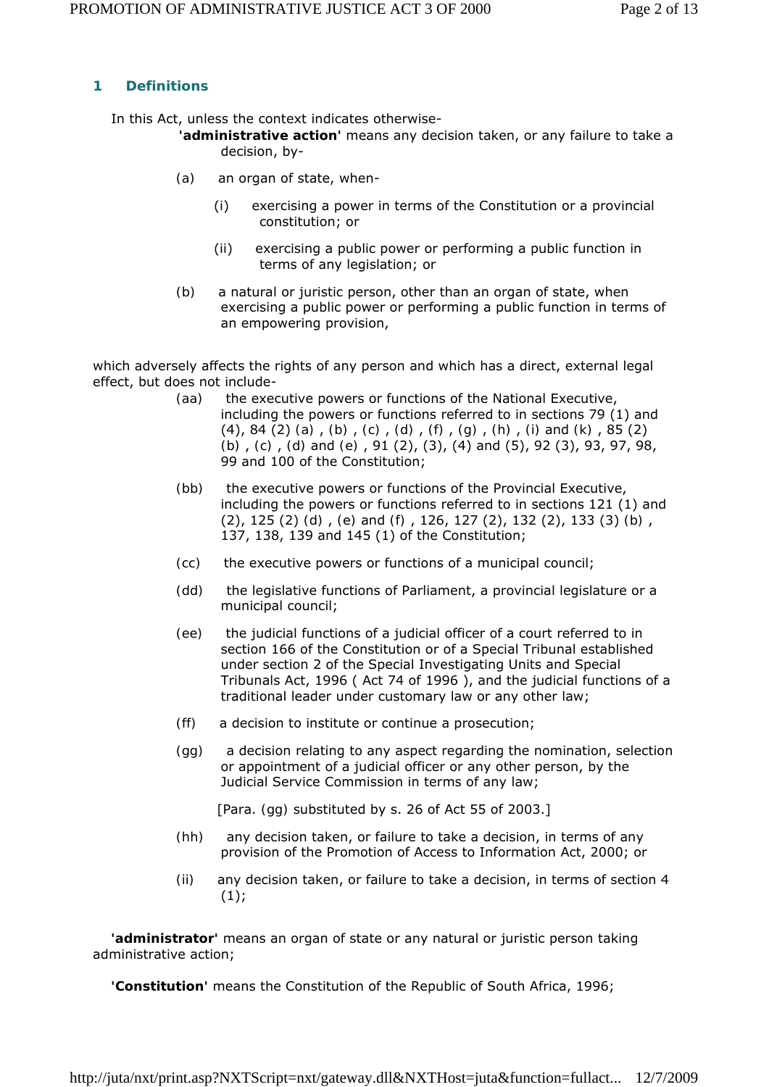# **1 Definitions**

In this Act, unless the context indicates otherwise-

- **'administrative action'** means any decision taken, or any failure to take a decision, by-
- *(a)* an organ of state, when-
	- (i) exercising a power in terms of the Constitution or a provincial constitution; or
	- (ii) exercising a public power or performing a public function in terms of any legislation; or
- *(b)* a natural or juristic person, other than an organ of state, when exercising a public power or performing a public function in terms of an empowering provision,

which adversely affects the rights of any person and which has a direct, external legal effect, but does not include-

- *(aa)* the executive powers or functions of the National Executive, including the powers or functions referred to in sections 79 (1) and (4), 84 (2) *(a)* , *(b)* , *(c)* , *(d)* , *(f)* , *(g)* , *(h)* , *(i)* and *(k)* , 85 (2) *(b)* , *(c)* , *(d)* and *(e)* , 91 (2), (3), (4) and (5), 92 (3), 93, 97, 98, 99 and 100 of the Constitution;
- *(bb)* the executive powers or functions of the Provincial Executive, including the powers or functions referred to in sections 121 (1) and (2), 125 (2) *(d)* , *(e)* and *(f)* , 126, 127 (2), 132 (2), 133 (3) *(b)* , 137, 138, 139 and 145 (1) of the Constitution;
- *(cc)* the executive powers or functions of a municipal council;
- *(dd)* the legislative functions of Parliament, a provincial legislature or a municipal council;
- *(ee)* the judicial functions of a judicial officer of a court referred to in section 166 of the Constitution or of a Special Tribunal established under section 2 of the Special Investigating Units and Special Tribunals Act, 1996 ( Act 74 of 1996 ), and the judicial functions of a traditional leader under customary law or any other law;
- *(ff)* a decision to institute or continue a prosecution;
- *(gg)* a decision relating to any aspect regarding the nomination, selection or appointment of a judicial officer or any other person, by the Judicial Service Commission in terms of any law;

[Para. *(gg)* substituted by s. 26 of Act 55 of 2003.]

- *(hh)* any decision taken, or failure to take a decision, in terms of any provision of the Promotion of Access to Information Act, 2000; or
- *(ii)* any decision taken, or failure to take a decision, in terms of section 4  $(1);$

 **'administrator'** means an organ of state or any natural or juristic person taking administrative action;

**'Constitution'** means the Constitution of the Republic of South Africa, 1996;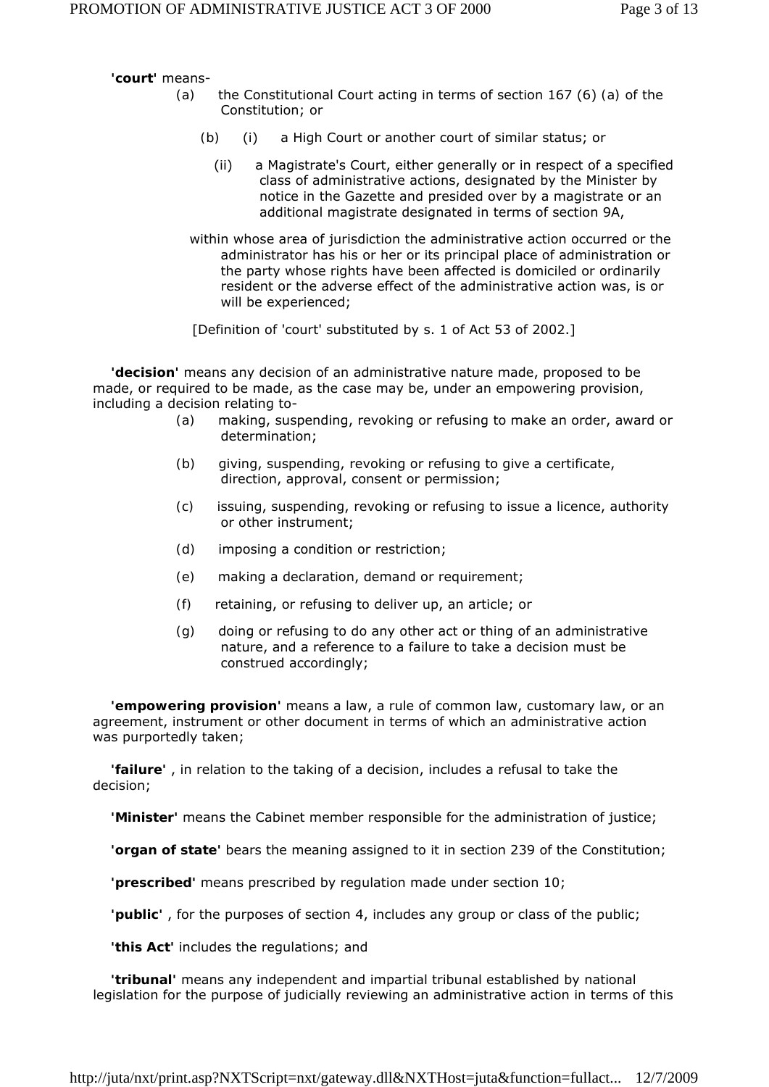**'court'** means-

- *(a)* the Constitutional Court acting in terms of section 167 (6) *(a)* of the Constitution; or
	- *(b)* (i) a High Court or another court of similar status; or
		- (ii) a Magistrate's Court, either generally or in respect of a specified class of administrative actions, designated by the Minister by notice in the *Gazette* and presided over by a magistrate or an additional magistrate designated in terms of section 9A,
	- within whose area of jurisdiction the administrative action occurred or the administrator has his or her or its principal place of administration or the party whose rights have been affected is domiciled or ordinarily resident or the adverse effect of the administrative action was, is or will be experienced;

[Definition of 'court' substituted by s. 1 of Act 53 of 2002.]

 **'decision'** means any decision of an administrative nature made, proposed to be made, or required to be made, as the case may be, under an empowering provision, including a decision relating to-

- *(a)* making, suspending, revoking or refusing to make an order, award or determination;
- *(b)* giving, suspending, revoking or refusing to give a certificate, direction, approval, consent or permission;
- *(c)* issuing, suspending, revoking or refusing to issue a licence, authority or other instrument;
- *(d)* imposing a condition or restriction;
- *(e)* making a declaration, demand or requirement;
- *(f)* retaining, or refusing to deliver up, an article; or
- *(g)* doing or refusing to do any other act or thing of an administrative nature, and a reference to a failure to take a decision must be construed accordingly;

 **'empowering provision'** means a law, a rule of common law, customary law, or an agreement, instrument or other document in terms of which an administrative action was purportedly taken;

 **'failure'** , in relation to the taking of a decision, includes a refusal to take the decision;

**'Minister'** means the Cabinet member responsible for the administration of justice;

**'organ of state'** bears the meaning assigned to it in section 239 of the Constitution;

**'prescribed'** means prescribed by regulation made under section 10;

**'public'** , for the purposes of section 4, includes any group or class of the public;

**'this Act'** includes the regulations; and

 **'tribunal'** means any independent and impartial tribunal established by national legislation for the purpose of judicially reviewing an administrative action in terms of this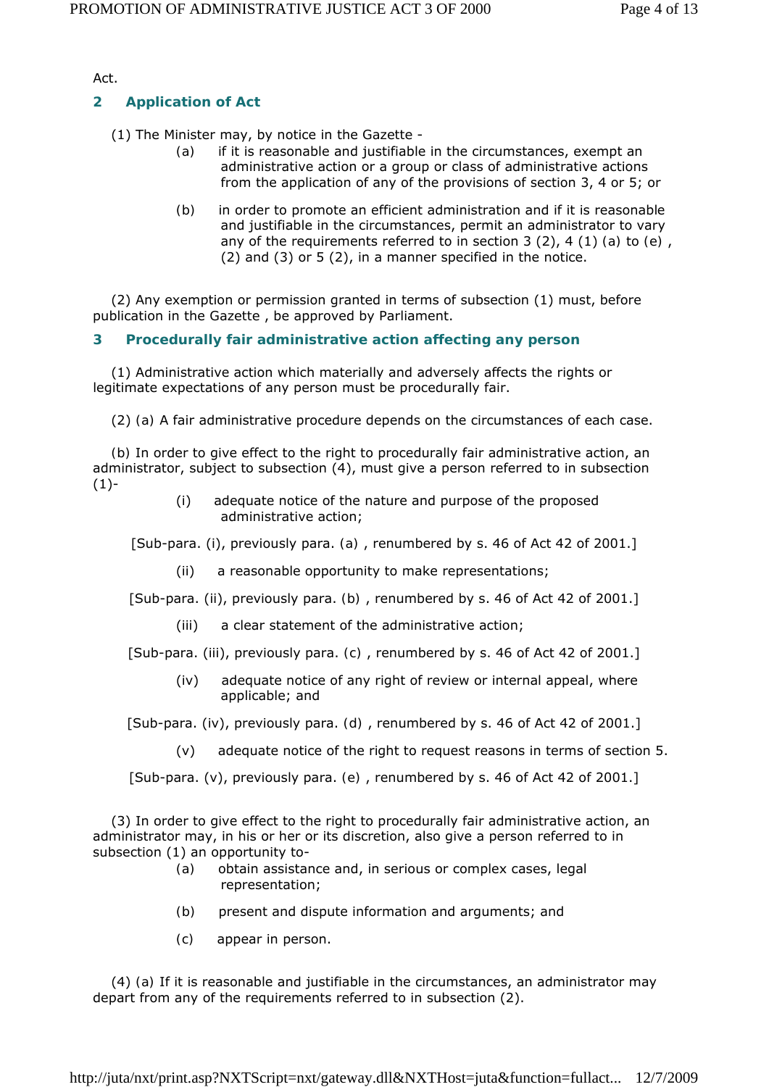Act.

# **2 Application of Act**

(1) The Minister may, by notice in the *Gazette* -

- *(a)* if it is reasonable and justifiable in the circumstances, exempt an administrative action or a group or class of administrative actions from the application of any of the provisions of section 3, 4 or 5; or
- *(b)* in order to promote an efficient administration and if it is reasonable and justifiable in the circumstances, permit an administrator to vary any of the requirements referred to in section 3 (2), 4 (1) *(a)* to *(e)* , (2) and (3) or 5 (2), in a manner specified in the notice.

 (2) Any exemption or permission granted in terms of subsection (1) must, before publication in the *Gazette* , be approved by Parliament.

## **3 Procedurally fair administrative action affecting any person**

 (1) Administrative action which materially and adversely affects the rights or legitimate expectations of any person must be procedurally fair.

(2) *(a)* A fair administrative procedure depends on the circumstances of each case.

 *(b)* In order to give effect to the right to procedurally fair administrative action, an administrator, subject to subsection (4), must give a person referred to in subsection  $(1)$ -

> (i) adequate notice of the nature and purpose of the proposed administrative action;

[Sub-para. (i), previously para. *(a)* , renumbered by s. 46 of Act 42 of 2001.]

(ii) a reasonable opportunity to make representations;

[Sub-para. (ii), previously para. *(b)* , renumbered by s. 46 of Act 42 of 2001.]

(iii) a clear statement of the administrative action;

[Sub-para. (iii), previously para. *(c)* , renumbered by s. 46 of Act 42 of 2001.]

 (iv) adequate notice of any right of review or internal appeal, where applicable; and

[Sub-para. (iv), previously para. *(d)* , renumbered by s. 46 of Act 42 of 2001.]

(v) adequate notice of the right to request reasons in terms of section 5.

[Sub-para. (v), previously para. *(e)* , renumbered by s. 46 of Act 42 of 2001.]

 (3) In order to give effect to the right to procedurally fair administrative action, an administrator may, in his or her or its discretion, also give a person referred to in subsection (1) an opportunity to-

- *(a)* obtain assistance and, in serious or complex cases, legal representation;
- *(b)* present and dispute information and arguments; and
- *(c)* appear in person.

 (4) *(a)* If it is reasonable and justifiable in the circumstances, an administrator may depart from any of the requirements referred to in subsection (2).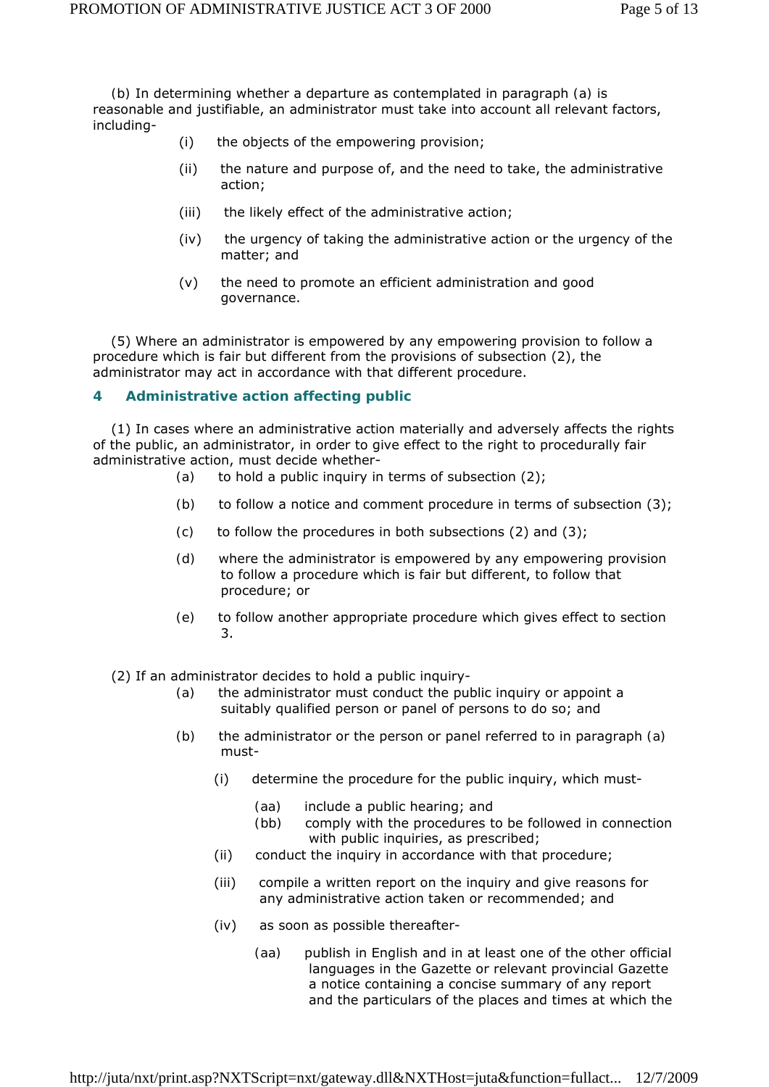*(b)* In determining whether a departure as contemplated in paragraph *(a)* is reasonable and justifiable, an administrator must take into account all relevant factors, including-

- (i) the objects of the empowering provision;
- (ii) the nature and purpose of, and the need to take, the administrative action;
- (iii) the likely effect of the administrative action;
- (iv) the urgency of taking the administrative action or the urgency of the matter; and
- (v) the need to promote an efficient administration and good governance.

 (5) Where an administrator is empowered by any empowering provision to follow a procedure which is fair but different from the provisions of subsection (2), the administrator may act in accordance with that different procedure.

## **4 Administrative action affecting public**

 (1) In cases where an administrative action materially and adversely affects the rights of the public, an administrator, in order to give effect to the right to procedurally fair administrative action, must decide whether-

- *(a)* to hold a public inquiry in terms of subsection (2);
- *(b)* to follow a notice and comment procedure in terms of subsection (3);
- *(c)* to follow the procedures in both subsections (2) and (3);
- *(d)* where the administrator is empowered by any empowering provision to follow a procedure which is fair but different, to follow that procedure; or
- *(e)* to follow another appropriate procedure which gives effect to section 3.

(2) If an administrator decides to hold a public inquiry-

- *(a)* the administrator must conduct the public inquiry or appoint a suitably qualified person or panel of persons to do so; and
- *(b)* the administrator or the person or panel referred to in paragraph *(a)*  must-
	- (i) determine the procedure for the public inquiry, which must-
		- *(aa)* include a public hearing; and
		- *(bb)* comply with the procedures to be followed in connection with public inquiries, as prescribed;
	- (ii) conduct the inquiry in accordance with that procedure;
	- (iii) compile a written report on the inquiry and give reasons for any administrative action taken or recommended; and
	- (iv) as soon as possible thereafter-
		- *(aa)* publish in English and in at least one of the other official languages in the *Gazette* or relevant provincial *Gazette*  a notice containing a concise summary of any report and the particulars of the places and times at which the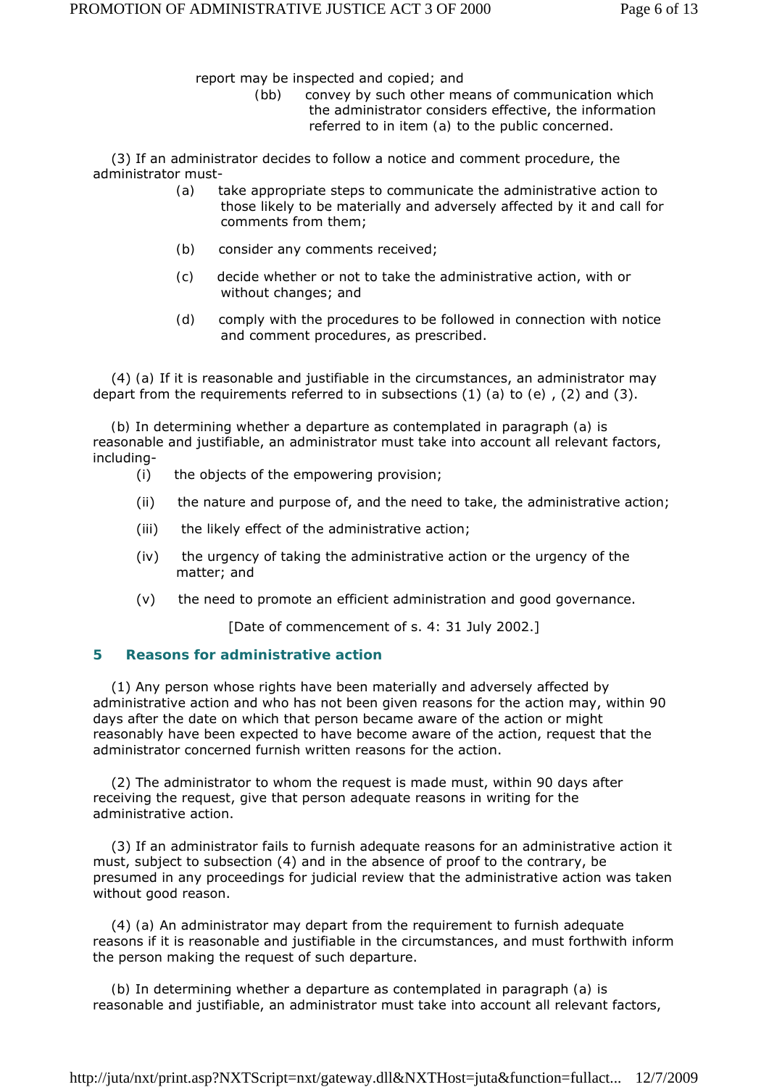report may be inspected and copied; and

 *(bb)* convey by such other means of communication which the administrator considers effective, the information referred to in item *(a)* to the public concerned.

 (3) If an administrator decides to follow a notice and comment procedure, the administrator must-

- *(a)* take appropriate steps to communicate the administrative action to those likely to be materially and adversely affected by it and call for comments from them;
- *(b)* consider any comments received;
- *(c)* decide whether or not to take the administrative action, with or without changes; and
- *(d)* comply with the procedures to be followed in connection with notice and comment procedures, as prescribed.

 (4) *(a)* If it is reasonable and justifiable in the circumstances, an administrator may depart from the requirements referred to in subsections (1) *(a)* to *(e)* , (2) and (3).

 *(b)* In determining whether a departure as contemplated in paragraph *(a)* is reasonable and justifiable, an administrator must take into account all relevant factors, including-

- (i) the objects of the empowering provision;
- (ii) the nature and purpose of, and the need to take, the administrative action;
- (iii) the likely effect of the administrative action;
- (iv) the urgency of taking the administrative action or the urgency of the matter; and
- (v) the need to promote an efficient administration and good governance.

[Date of commencement of s. 4: 31 July 2002.]

#### **5 Reasons for administrative action**

 (1) Any person whose rights have been materially and adversely affected by administrative action and who has not been given reasons for the action may, within 90 days after the date on which that person became aware of the action or might reasonably have been expected to have become aware of the action, request that the administrator concerned furnish written reasons for the action.

 (2) The administrator to whom the request is made must, within 90 days after receiving the request, give that person adequate reasons in writing for the administrative action.

 (3) If an administrator fails to furnish adequate reasons for an administrative action it must, subject to subsection (4) and in the absence of proof to the contrary, be presumed in any proceedings for judicial review that the administrative action was taken without good reason.

 (4) *(a)* An administrator may depart from the requirement to furnish adequate reasons if it is reasonable and justifiable in the circumstances, and must forthwith inform the person making the request of such departure.

 *(b)* In determining whether a departure as contemplated in paragraph *(a)* is reasonable and justifiable, an administrator must take into account all relevant factors,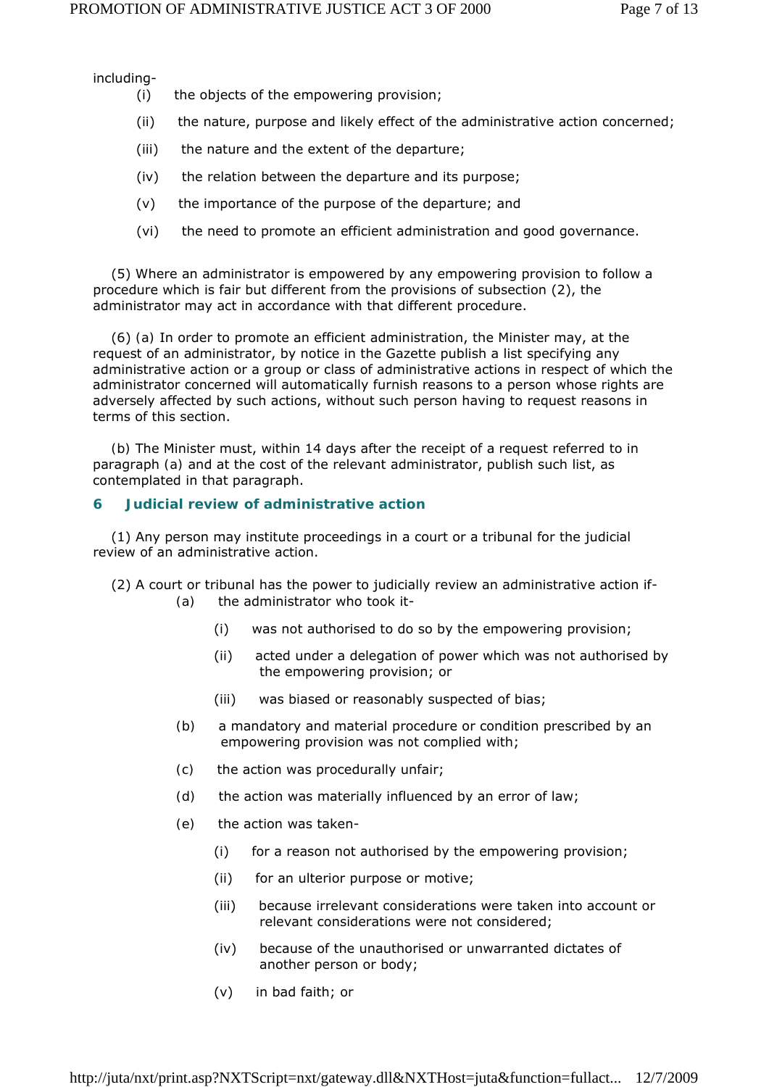including-

- (i) the objects of the empowering provision;
- (ii) the nature, purpose and likely effect of the administrative action concerned;
- (iii) the nature and the extent of the departure;
- (iv) the relation between the departure and its purpose;
- (v) the importance of the purpose of the departure; and
- (vi) the need to promote an efficient administration and good governance.

 (5) Where an administrator is empowered by any empowering provision to follow a procedure which is fair but different from the provisions of subsection (2), the administrator may act in accordance with that different procedure.

 (6) *(a)* In order to promote an efficient administration, the Minister may, at the request of an administrator, by notice in the *Gazette* publish a list specifying any administrative action or a group or class of administrative actions in respect of which the administrator concerned will automatically furnish reasons to a person whose rights are adversely affected by such actions, without such person having to request reasons in terms of this section.

 *(b)* The Minister must, within 14 days after the receipt of a request referred to in paragraph *(a)* and at the cost of the relevant administrator, publish such list, as contemplated in that paragraph.

### **6 Judicial review of administrative action**

 (1) Any person may institute proceedings in a court or a tribunal for the judicial review of an administrative action.

- (2) A court or tribunal has the power to judicially review an administrative action if- *(a)* the administrator who took it-
	- (i) was not authorised to do so by the empowering provision;
	- (ii) acted under a delegation of power which was not authorised by the empowering provision; or
	- (iii) was biased or reasonably suspected of bias;
	- *(b)* a mandatory and material procedure or condition prescribed by an empowering provision was not complied with;
	- *(c)* the action was procedurally unfair;
	- *(d)* the action was materially influenced by an error of law;
	- *(e)* the action was taken-
		- (i) for a reason not authorised by the empowering provision;
		- (ii) for an ulterior purpose or motive;
		- (iii) because irrelevant considerations were taken into account or relevant considerations were not considered;
		- (iv) because of the unauthorised or unwarranted dictates of another person or body;
		- (v) in bad faith; or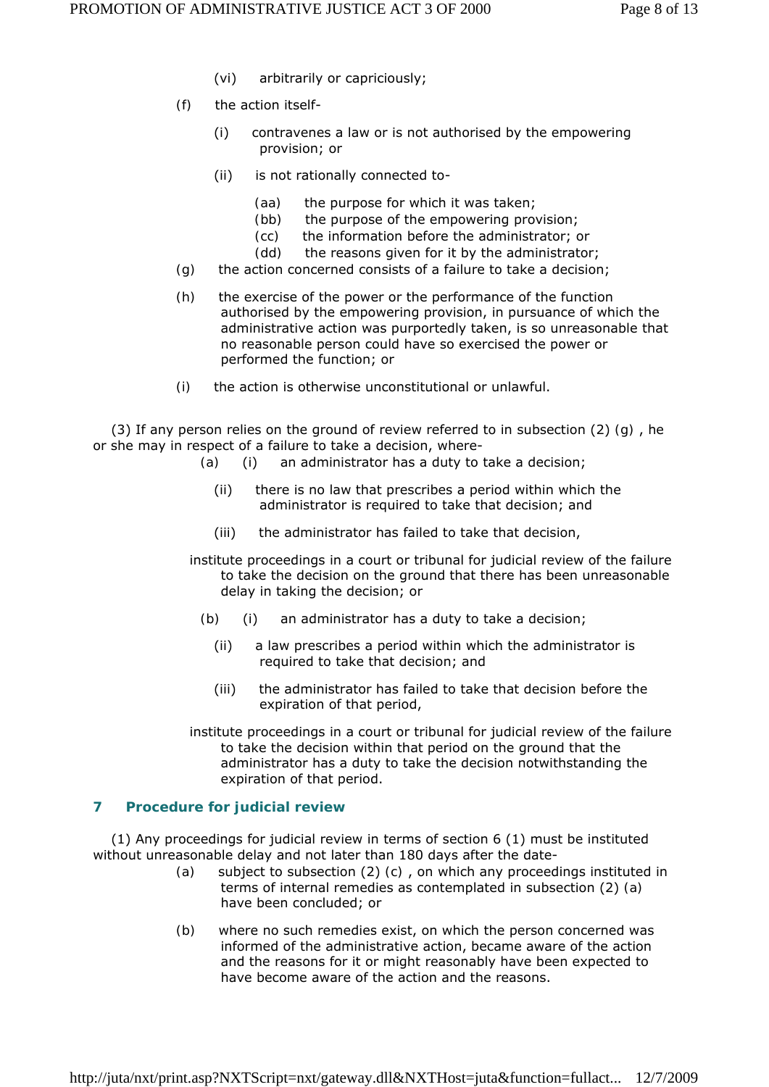- (vi) arbitrarily or capriciously;
- *(f)* the action itself-
	- (i) contravenes a law or is not authorised by the empowering provision; or
	- (ii) is not rationally connected to-
		- *(aa)* the purpose for which it was taken;
		- *(bb)* the purpose of the empowering provision;
		- *(cc)* the information before the administrator; or
		- *(dd)* the reasons given for it by the administrator;
- *(g)* the action concerned consists of a failure to take a decision;
- *(h)* the exercise of the power or the performance of the function authorised by the empowering provision, in pursuance of which the administrative action was purportedly taken, is so unreasonable that no reasonable person could have so exercised the power or performed the function; or
- *(i)* the action is otherwise unconstitutional or unlawful.

 (3) If any person relies on the ground of review referred to in subsection (2) *(g)* , he or she may in respect of a failure to take a decision, where-

- *(a)* (i) an administrator has a duty to take a decision;
	- (ii) there is no law that prescribes a period within which the administrator is required to take that decision; and
	- (iii) the administrator has failed to take that decision,
- institute proceedings in a court or tribunal for judicial review of the failure to take the decision on the ground that there has been unreasonable delay in taking the decision; or
	- *(b)* (i) an administrator has a duty to take a decision;
		- (ii) a law prescribes a period within which the administrator is required to take that decision; and
		- (iii) the administrator has failed to take that decision before the expiration of that period,
- institute proceedings in a court or tribunal for judicial review of the failure to take the decision within that period on the ground that the administrator has a duty to take the decision notwithstanding the expiration of that period.

## **7 Procedure for judicial review**

 (1) Any proceedings for judicial review in terms of section 6 (1) must be instituted without unreasonable delay and not later than 180 days after the date-

- *(a)* subject to subsection (2) *(c)* , on which any proceedings instituted in terms of internal remedies as contemplated in subsection (2) *(a)*  have been concluded; or
- *(b)* where no such remedies exist, on which the person concerned was informed of the administrative action, became aware of the action and the reasons for it or might reasonably have been expected to have become aware of the action and the reasons.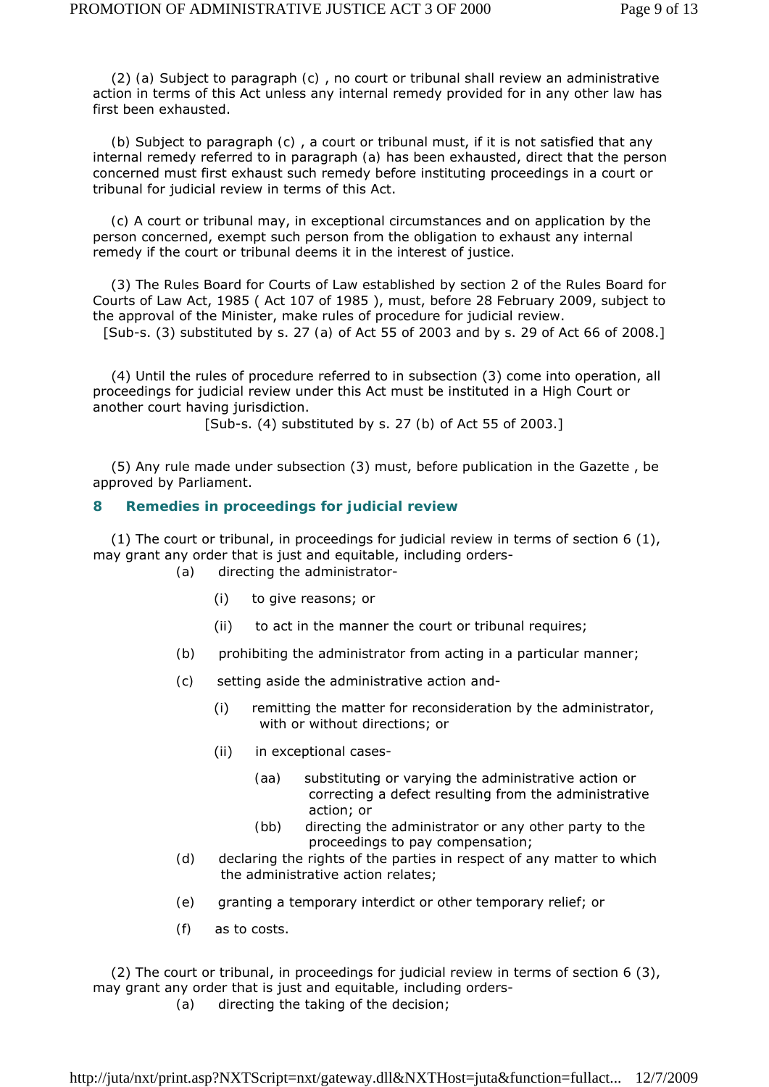(2) *(a)* Subject to paragraph *(c)* , no court or tribunal shall review an administrative action in terms of this Act unless any internal remedy provided for in any other law has first been exhausted.

 *(b)* Subject to paragraph *(c)* , a court or tribunal must, if it is not satisfied that any internal remedy referred to in paragraph *(a)* has been exhausted, direct that the person concerned must first exhaust such remedy before instituting proceedings in a court or tribunal for judicial review in terms of this Act.

 *(c)* A court or tribunal may, in exceptional circumstances and on application by the person concerned, exempt such person from the obligation to exhaust any internal remedy if the court or tribunal deems it in the interest of justice.

 (3) The Rules Board for Courts of Law established by section 2 of the Rules Board for Courts of Law Act, 1985 ( Act 107 of 1985 ), must, before 28 February 2009, subject to the approval of the Minister, make rules of procedure for judicial review.

[Sub-s. (3) substituted by s. 27 *(a)* of Act 55 of 2003 and by s. 29 of Act 66 of 2008.]

 (4) Until the rules of procedure referred to in subsection (3) come into operation, all proceedings for judicial review under this Act must be instituted in a High Court or another court having jurisdiction.

[Sub-s. (4) substituted by s. 27 *(b)* of Act 55 of 2003.]

 (5) Any rule made under subsection (3) must, before publication in the *Gazette* , be approved by Parliament.

#### **8 Remedies in proceedings for judicial review**

 (1) The court or tribunal, in proceedings for judicial review in terms of section 6 (1), may grant any order that is just and equitable, including orders-

*(a)* directing the administrator-

- (i) to give reasons; or
- (ii) to act in the manner the court or tribunal requires;
- *(b)* prohibiting the administrator from acting in a particular manner;
- *(c)* setting aside the administrative action and-
	- (i) remitting the matter for reconsideration by the administrator, with or without directions; or
	- (ii) in exceptional cases-
		- *(aa)* substituting or varying the administrative action or correcting a defect resulting from the administrative action; or
		- *(bb)* directing the administrator or any other party to the proceedings to pay compensation;
- *(d)* declaring the rights of the parties in respect of any matter to which the administrative action relates;
- *(e)* granting a temporary interdict or other temporary relief; or
- *(f)* as to costs.

 (2) The court or tribunal, in proceedings for judicial review in terms of section 6 (3), may grant any order that is just and equitable, including orders-

*(a)* directing the taking of the decision;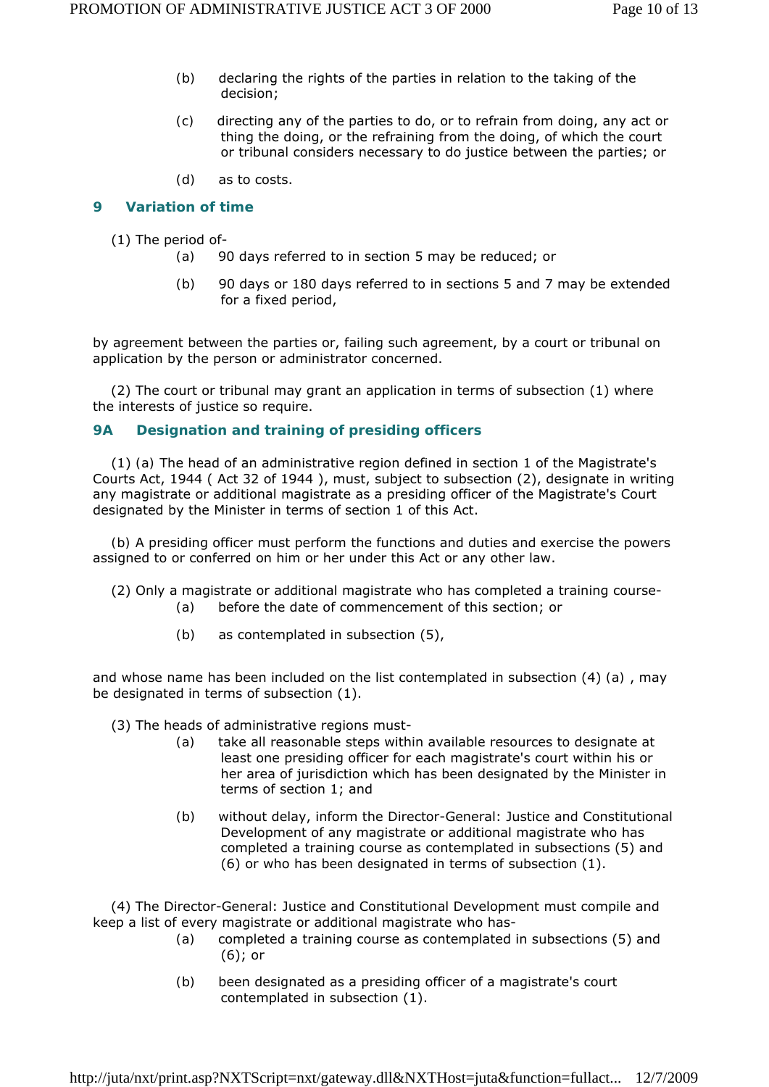- *(b)* declaring the rights of the parties in relation to the taking of the decision;
- *(c)* directing any of the parties to do, or to refrain from doing, any act or thing the doing, or the refraining from the doing, of which the court or tribunal considers necessary to do justice between the parties; or
- *(d)* as to costs.

## **9 Variation of time**

(1) The period of-

- *(a)* 90 days referred to in section 5 may be reduced; or
- *(b)* 90 days or 180 days referred to in sections 5 and 7 may be extended for a fixed period,

by agreement between the parties or, failing such agreement, by a court or tribunal on application by the person or administrator concerned.

 (2) The court or tribunal may grant an application in terms of subsection (1) where the interests of justice so require.

#### **9A Designation and training of presiding officers**

 (1) *(a)* The head of an administrative region defined in section 1 of the Magistrate's Courts Act, 1944 ( Act 32 of 1944 ), must, subject to subsection (2), designate in writing any magistrate or additional magistrate as a presiding officer of the Magistrate's Court designated by the Minister in terms of section 1 of this Act.

 *(b)* A presiding officer must perform the functions and duties and exercise the powers assigned to or conferred on him or her under this Act or any other law.

- (2) Only a magistrate or additional magistrate who has completed a training course-
	- *(a)* before the date of commencement of this section; or
	- *(b)* as contemplated in subsection (5),

and whose name has been included on the list contemplated in subsection (4) *(a)* , may be designated in terms of subsection (1).

- (3) The heads of administrative regions must-
	- *(a)* take all reasonable steps within available resources to designate at least one presiding officer for each magistrate's court within his or her area of jurisdiction which has been designated by the Minister in terms of section 1; and
	- *(b)* without delay, inform the Director-General: Justice and Constitutional Development of any magistrate or additional magistrate who has completed a training course as contemplated in subsections (5) and (6) or who has been designated in terms of subsection (1).

 (4) The Director-General: Justice and Constitutional Development must compile and keep a list of every magistrate or additional magistrate who has-

- *(a)* completed a training course as contemplated in subsections (5) and (6); or
- *(b)* been designated as a presiding officer of a magistrate's court contemplated in subsection (1).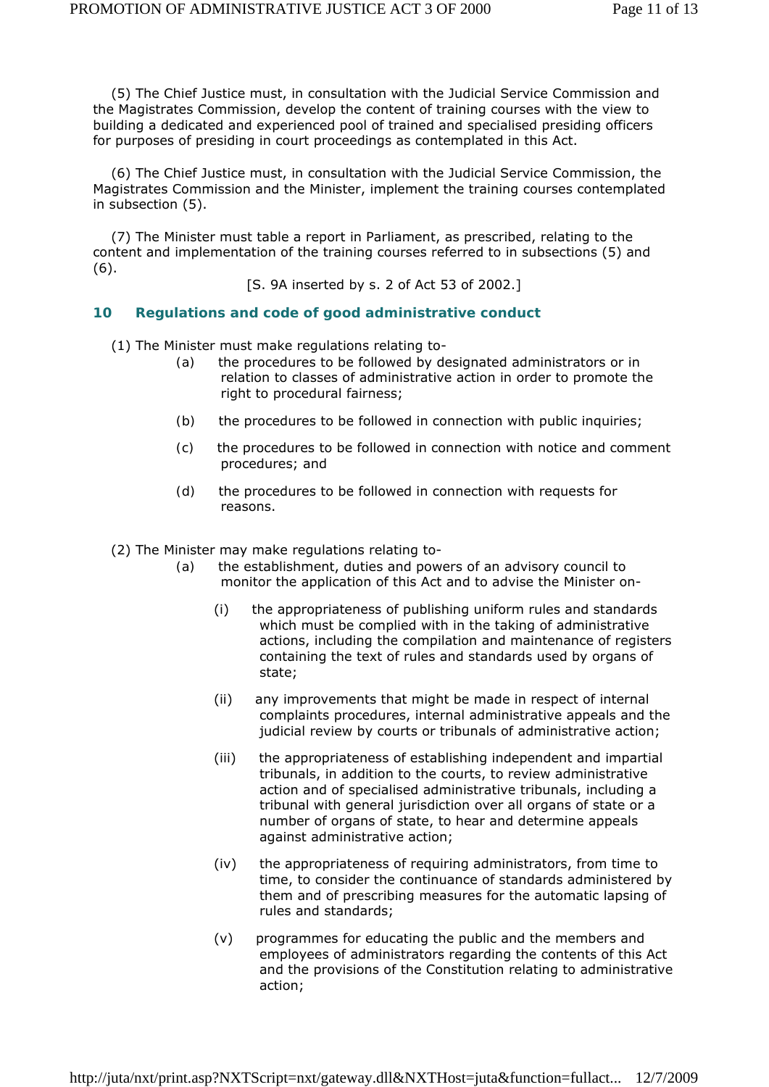(5) The Chief Justice must, in consultation with the Judicial Service Commission and the Magistrates Commission, develop the content of training courses with the view to building a dedicated and experienced pool of trained and specialised presiding officers for purposes of presiding in court proceedings as contemplated in this Act.

 (6) The Chief Justice must, in consultation with the Judicial Service Commission, the Magistrates Commission and the Minister, implement the training courses contemplated in subsection (5).

 (7) The Minister must table a report in Parliament, as prescribed, relating to the content and implementation of the training courses referred to in subsections (5) and (6).

[S. 9A inserted by s. 2 of Act 53 of 2002.]

#### **10 Regulations and code of good administrative conduct**

- (1) The Minister must make regulations relating to-
	- *(a)* the procedures to be followed by designated administrators or in relation to classes of administrative action in order to promote the right to procedural fairness;
	- *(b)* the procedures to be followed in connection with public inquiries;
	- *(c)* the procedures to be followed in connection with notice and comment procedures; and
	- *(d)* the procedures to be followed in connection with requests for reasons.

(2) The Minister may make regulations relating to-

- *(a)* the establishment, duties and powers of an advisory council to monitor the application of this Act and to advise the Minister on-
	- (i) the appropriateness of publishing uniform rules and standards which must be complied with in the taking of administrative actions, including the compilation and maintenance of registers containing the text of rules and standards used by organs of state;
	- (ii) any improvements that might be made in respect of internal complaints procedures, internal administrative appeals and the judicial review by courts or tribunals of administrative action;
	- (iii) the appropriateness of establishing independent and impartial tribunals, in addition to the courts, to review administrative action and of specialised administrative tribunals, including a tribunal with general jurisdiction over all organs of state or a number of organs of state, to hear and determine appeals against administrative action;
	- (iv) the appropriateness of requiring administrators, from time to time, to consider the continuance of standards administered by them and of prescribing measures for the automatic lapsing of rules and standards;
	- (v) programmes for educating the public and the members and employees of administrators regarding the contents of this Act and the provisions of the Constitution relating to administrative action;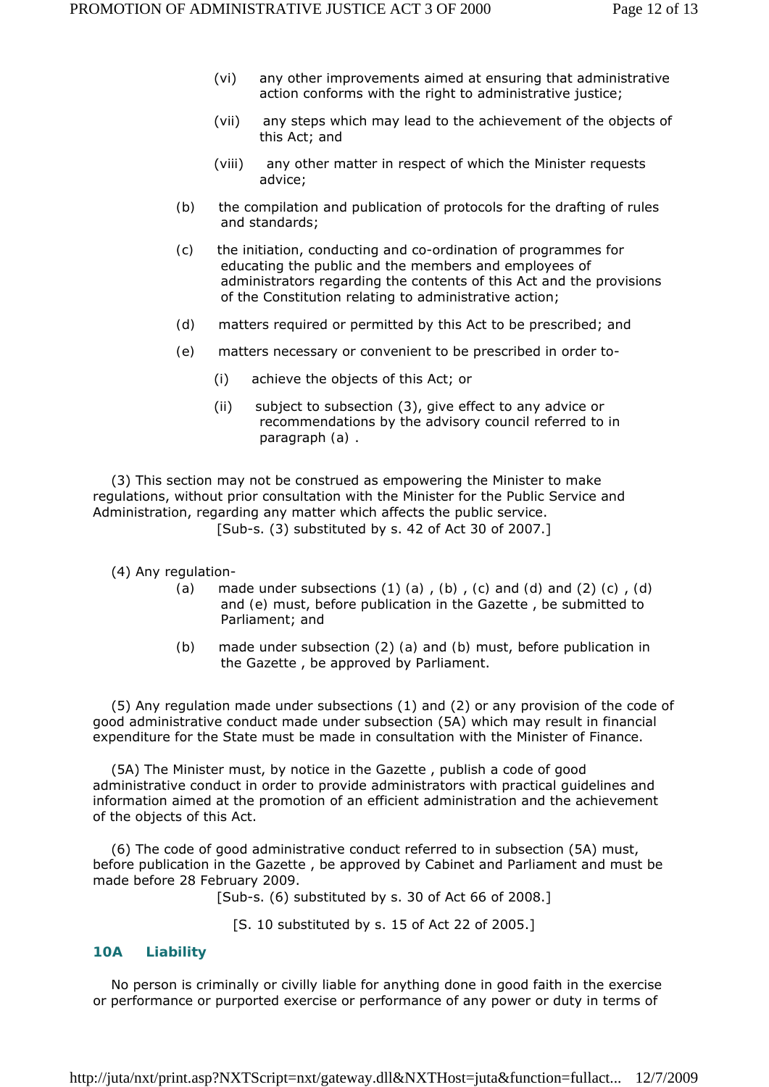- (vi) any other improvements aimed at ensuring that administrative action conforms with the right to administrative justice;
- (vii) any steps which may lead to the achievement of the objects of this Act; and
- (viii) any other matter in respect of which the Minister requests advice;
- *(b)* the compilation and publication of protocols for the drafting of rules and standards;
- *(c)* the initiation, conducting and co-ordination of programmes for educating the public and the members and employees of administrators regarding the contents of this Act and the provisions of the Constitution relating to administrative action;
- *(d)* matters required or permitted by this Act to be prescribed; and
- *(e)* matters necessary or convenient to be prescribed in order to-
	- (i) achieve the objects of this Act; or
	- (ii) subject to subsection (3), give effect to any advice or recommendations by the advisory council referred to in paragraph *(a)* .

 (3) This section may not be construed as empowering the Minister to make regulations, without prior consultation with the Minister for the Public Service and Administration, regarding any matter which affects the public service. [Sub-s. (3) substituted by s. 42 of Act 30 of 2007.]

(4) Any regulation-

- *(a)* made under subsections (1) *(a)* , *(b)* , *(c)* and *(d)* and (2) *(c)* , *(d)*  and *(e)* must, before publication in the *Gazette* , be submitted to Parliament; and
- *(b)* made under subsection (2) *(a)* and *(b)* must, before publication in the *Gazette* , be approved by Parliament.

 (5) Any regulation made under subsections (1) and (2) or any provision of the code of good administrative conduct made under subsection (5A) which may result in financial expenditure for the State must be made in consultation with the Minister of Finance.

 (5A) The Minister must, by notice in the *Gazette* , publish a code of good administrative conduct in order to provide administrators with practical guidelines and information aimed at the promotion of an efficient administration and the achievement of the objects of this Act.

 (6) The code of good administrative conduct referred to in subsection (5A) must, before publication in the *Gazette* , be approved by Cabinet and Parliament and must be made before 28 February 2009.

[Sub-s. (6) substituted by s. 30 of Act 66 of 2008.]

[S. 10 substituted by s. 15 of Act 22 of 2005.]

#### **10A Liability**

 No person is criminally or civilly liable for anything done in good faith in the exercise or performance or purported exercise or performance of any power or duty in terms of